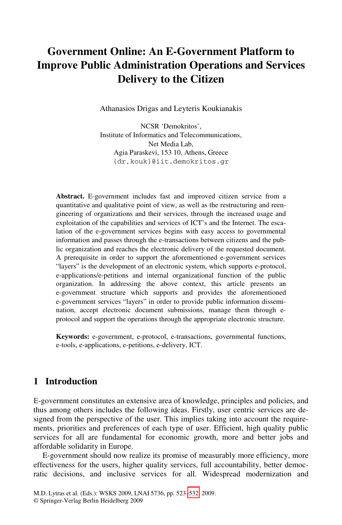# **Government Online: An E-Government Platform to Improve Public Administration Operations and Services Delivery to the Citizen**

Athanasios Drigas and Leyteris Koukianakis

NCSR 'Demokritos', Institute of Informatics and Telecommunications, Net Media Lab, Agia Paraskevi, 153 10, Athens, Greece {dr,kouk}@iit.demokritos.gr

**Abstract.** E-government includes fast and improved citizen service from a quantitative and qualitative point of view, as well as the restructuring and reengineering of organizations and their services, through the increased usage and exploitation of the capabilities and services of ICT's and the Internet. The escalation of the e-government services begins with easy access to governmental information and passes through the e-transactions between citizens and the public organization and reaches the electronic delivery of the requested document. A prerequisite in order to support the aforementioned e-government services "layers" is the development of an electronic system, which supports e-protocol, e-applications/e-petitions and internal organizational function of the public organization. In addressing the above context, this article presents an e-government structure which supports and provides the aforementioned e-government services "layers" in order to provide public information dissemination, accept electronic document submissions, manage them through eprotocol and support the operations through the appropriate electronic structure.

**Keywords:** e-government, e-protocol, e-transactions, governmental functions, e-tools, e-applications, e-petitions, e-delivery, ICT.

### **1 Introduction**

Ε-government constitutes an extensive area of knowledge, principles and policies, and thus among others includes the following ideas. Firstly, user centric services are designed from the perspectiv[e of](#page-9-0) the user. This implies taking into account the requirements, priorities and preferences of each type of user. Efficient, high quality public services for all are fundamental for economic growth, more and better jobs and affordable solidarity in Europe.

E-government should now realize its promise of measurably more efficiency, more effectiveness for the users, higher quality services, full accountability, better democratic decisions, and inclusive services for all. Widespread modernization and

M.D. Lytras et al. (Eds.): WSKS 2009, LNAI 5736, pp. 523–532, 2009.

<sup>©</sup> Springer-Verlag Berlin Heidelberg 2009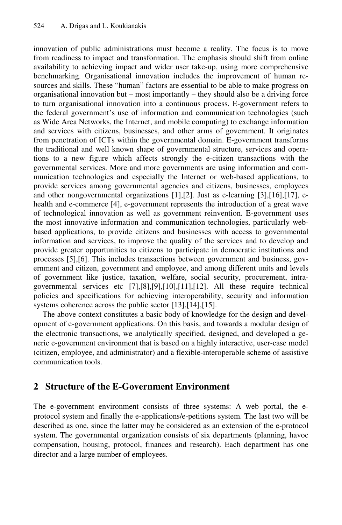innovation of public administrations must become a reality. The focus is to move from readiness to impact and transformation. The emphasis should shift from online availability to achieving impact and wider user take-up, using more comprehensive benchmarking. Organisational innovation includes the improvement of human resources and skills. These "human" factors are essential to be able to make progress on organisational innovation but – most importantly – they should also be a driving force to turn organisational innovation into a continuous process. E-government refers to the federal government's use of information and communication technologies (such as Wide Area Networks, the Internet, and mobile computing) to exchange information and services with citizens, businesses, and other arms of government. It originates from penetration of ICTs within the governmental domain. E-government transforms the traditional and well known shape of governmental structure, services and operations to a new figure which affects strongly the e-citizen transactions with the governmental services. More and more governments are using information and communication technologies and especially the Internet or web-based applications, to provide services among governmental agencies and citizens, businesses, employees and other nongovernmental organizations [1],[2]. Just as e-learning [3],[16],[17], ehealth and e-commerce [4], e-government represents the introduction of a great wave of technological innovation as well as government reinvention. E-government uses the most innovative information and communication technologies, particularly webbased applications, to provide citizens and businesses with access to governmental information and services, to improve the quality of the services and to develop and provide greater opportunities to citizens to participate in democratic institutions and processes [5],[6]. This includes transactions between government and business, government and citizen, government and employee, and among different units and levels of government like justice, taxation, welfare, social security, procurement, intragovernmental services etc [7],[8],[9],[10],[11],[12]. All these require technical policies and specifications for achieving interoperability, security and information systems coherence across the public sector [13], [14], [15].

The above context constitutes a basic body of knowledge for the design and development of e-government applications. On this basis, and towards a modular design of the electronic transactions, we analytically specified, designed, and developed a generic e-government environment that is based on a highly interactive, user-case model (citizen, employee, and administrator) and a flexible-interoperable scheme of assistive communication tools.

### **2 Structure of the E-Government Environment**

The e-government environment consists of three systems: A web portal, the eprotocol system and finally the e-applications/e-petitions system. The last two will be described as one, since the latter may be considered as an extension of the e-protocol system. The governmental organization consists of six departments (planning, havoc compensation, housing, protocol, finances and research). Each department has one director and a large number of employees.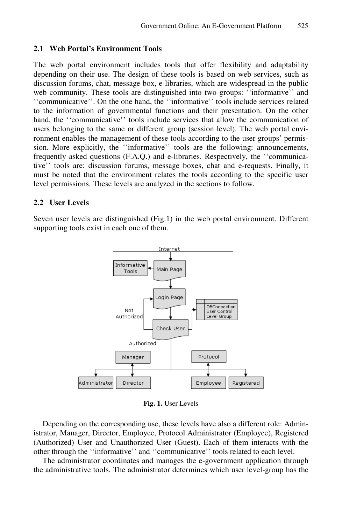#### **2.1 Web Portal's Environment Tools**

The web portal environment includes tools that offer flexibility and adaptability depending on their use. The design of these tools is based on web services, such as discussion forums, chat, message box, e-libraries, which are widespread in the public web community. These tools are distinguished into two groups: ''informative'' and ''communicative''. On the one hand, the ''informative'' tools include services related to the information of governmental functions and their presentation. On the other hand, the ''communicative'' tools include services that allow the communication of users belonging to the same or different group (session level). The web portal environment enables the management of these tools according to the user groups' permission. More explicitly, the ''informative'' tools are the following: announcements, frequently asked questions (F.A.Q.) and e-libraries. Respectively, the ''communicative'' tools are: discussion forums, message boxes, chat and e-requests. Finally, it must be noted that the environment relates the tools according to the specific user level permissions. These levels are analyzed in the sections to follow.

#### **2.2 User Levels**

Seven user levels are distinguished (Fig.1) in the web portal environment. Different supporting tools exist in each one of them.



**Fig. 1.** User Levels

Depending on the corresponding use, these levels have also a different role: Administrator, Manager, Director, Employee, Protocol Administrator (Employee), Registered (Authorized) User and Unauthorized User (Guest). Each of them interacts with the other through the ''informative'' and ''communicative'' tools related to each level.

The administrator coordinates and manages the e-government application through the administrative tools. The administrator determines which user level-group has the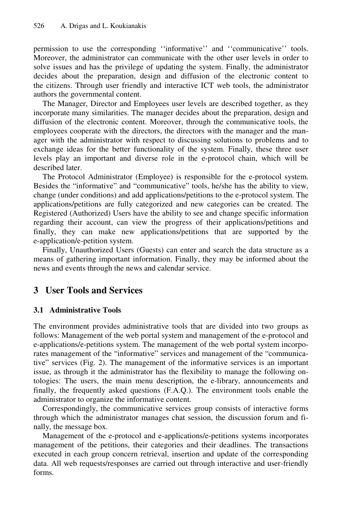permission to use the corresponding ''informative'' and ''communicative'' tools. Moreover, the administrator can communicate with the other user levels in order to solve issues and has the privilege of updating the system. Finally, the administrator decides about the preparation, design and diffusion of the electronic content to the citizens. Through user friendly and interactive ICT web tools, the administrator authors the governmental content.

The Manager, Director and Employees user levels are described together, as they incorporate many similarities. The manager decides about the preparation, design and diffusion of the electronic content. Moreover, through the communicative tools, the employees cooperate with the directors, the directors with the manager and the manager with the administrator with respect to discussing solutions to problems and to exchange ideas for the better functionality of the system. Finally, these three user levels play an important and diverse role in the e-protocol chain, which will be described later.

The Protocol Administrator (Employee) is responsible for the e-protocol system. Besides the "informative" and "communicative" tools, he/she has the ability to view, change (under conditions) and add applications/petitions to the e-protocol system. The applications/petitions are fully categorized and new categories can be created. The Registered (Authorized) Users have the ability to see and change specific information regarding their account, can view the progress of their applications/petitions and finally, they can make new applications/petitions that are supported by the e-application/e-petition system.

Finally, Unauthorized Users (Guests) can enter and search the data structure as a means of gathering important information. Finally, they may be informed about the news and events through the news and calendar service.

### **3 User Tools and Services**

#### **3.1 Administrative Tools**

The environment provides administrative tools that are divided into two groups as follows: Management of the web portal system and management of the e-protocol and e-applications/e-petitions system. The management of the web portal system incorporates management of the "informative" services and management of the "communicative" services (Fig. 2). The management of the informative services is an important issue, as through it the administrator has the flexibility to manage the following ontologies: The users, the main menu description, the e-library, announcements and finally, the frequently asked questions (F.A.Q.). The environment tools enable the administrator to organize the informative content.

Correspondingly, the communicative services group consists of interactive forms through which the administrator manages chat session, the discussion forum and finally, the message box.

Management of the e-protocol and e-applications/e-petitions systems incorporates management of the petitions, their categories and their deadlines. The transactions executed in each group concern retrieval, insertion and update of the corresponding data. All web requests/responses are carried out through interactive and user-friendly forms.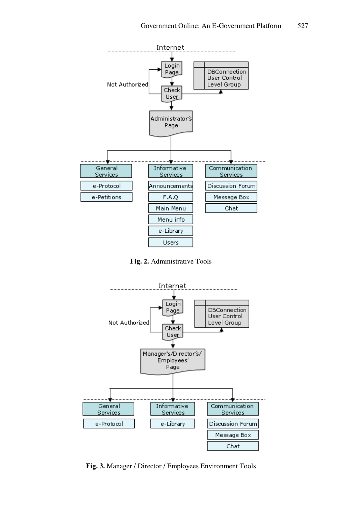

**Fig. 2.** Administrative Tools



**Fig. 3.** Manager / Director / Employees Environment Tools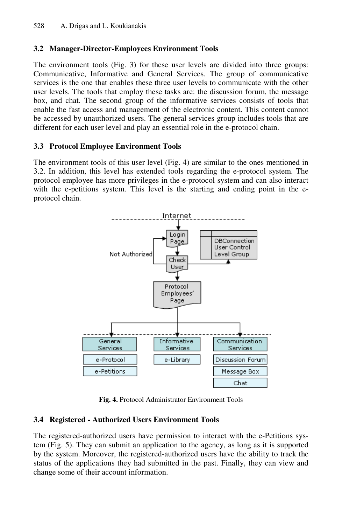### **3.2 Manager-Director-Employees Environment Tools**

The environment tools (Fig. 3) for these user levels are divided into three groups: Communicative, Informative and General Services. The group of communicative services is the one that enables these three user levels to communicate with the other user levels. The tools that employ these tasks are: the discussion forum, the message box, and chat. The second group of the informative services consists of tools that enable the fast access and management of the electronic content. This content cannot be accessed by unauthorized users. The general services group includes tools that are different for each user level and play an essential role in the e-protocol chain.

#### **3.3 Protocol Employee Environment Tools**

The environment tools of this user level (Fig. 4) are similar to the ones mentioned in 3.2. In addition, this level has extended tools regarding the e-protocol system. The protocol employee has more privileges in the e-protocol system and can also interact with the e-petitions system. This level is the starting and ending point in the eprotocol chain.



**Fig. 4.** Protocol Administrator Environment Tools

#### **3.4 Registered - Authorized Users Environment Tools**

The registered-authorized users have permission to interact with the e-Petitions system (Fig. 5). They can submit an application to the agency, as long as it is supported by the system. Moreover, the registered-authorized users have the ability to track the status of the applications they had submitted in the past. Finally, they can view and change some of their account information.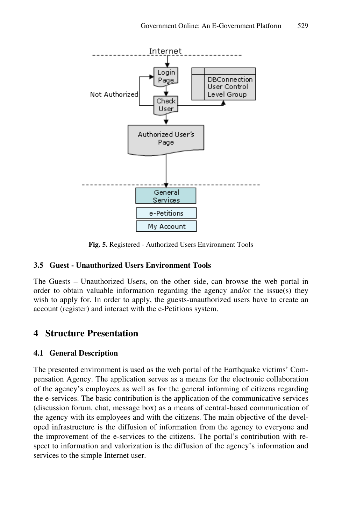

**Fig. 5.** Registered - Authorized Users Environment Tools

#### **3.5 Guest - Unauthorized Users Environment Tools**

The Guests – Unauthorized Users, on the other side, can browse the web portal in order to obtain valuable information regarding the agency and/or the issue(s) they wish to apply for. In order to apply, the guests-unauthorized users have to create an account (register) and interact with the e-Petitions system.

### **4 Structure Presentation**

#### **4.1 General Description**

The presented environment is used as the web portal of the Earthquake victims' Compensation Agency. The application serves as a means for the electronic collaboration of the agency's employees as well as for the general informing of citizens regarding the e-services. The basic contribution is the application of the communicative services (discussion forum, chat, message box) as a means of central-based communication of the agency with its employees and with the citizens. The main objective of the developed infrastructure is the diffusion of information from the agency to everyone and the improvement of the e-services to the citizens. The portal's contribution with respect to information and valorization is the diffusion of the agency's information and services to the simple Internet user.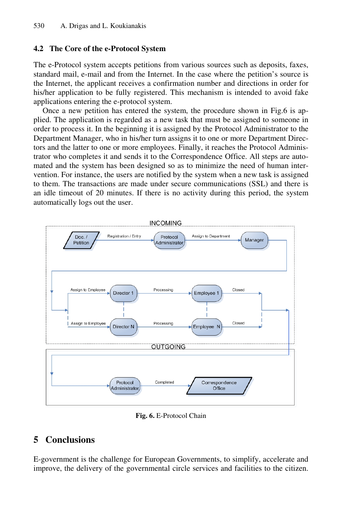#### **4.2 The Core of the e-Protocol System**

The e-Protocol system accepts petitions from various sources such as deposits, faxes, standard mail, e-mail and from the Internet. In the case where the petition's source is the Internet, the applicant receives a confirmation number and directions in order for his/her application to be fully registered. This mechanism is intended to avoid fake applications entering the e-protocol system.

Once a new petition has entered the system, the procedure shown in Fig.6 is applied. The application is regarded as a new task that must be assigned to someone in order to process it. In the beginning it is assigned by the Protocol Administrator to the Department Manager, who in his/her turn assigns it to one or more Department Directors and the latter to one or more employees. Finally, it reaches the Protocol Administrator who completes it and sends it to the Correspondence Office. All steps are automated and the system has been designed so as to minimize the need of human intervention. For instance, the users are notified by the system when a new task is assigned to them. The transactions are made under secure communications (SSL) and there is an idle timeout of 20 minutes. If there is no activity during this period, the system automatically logs out the user.



**Fig. 6.** E-Protocol Chain

## **5 Conclusions**

E-government is the challenge for European Governments, to simplify, accelerate and improve, the delivery of the governmental circle services and facilities to the citizen.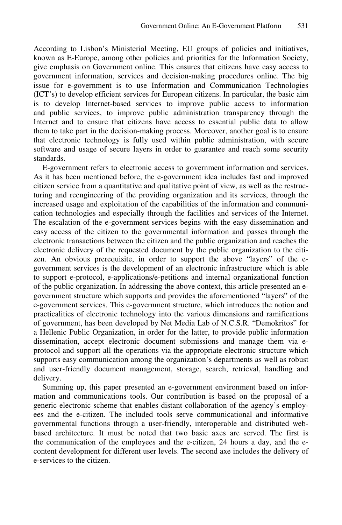According to Lisbon's Ministerial Meeting, EU groups of policies and initiatives, known as E-Europe, among other policies and priorities for the Information Society, give emphasis on Government online. This ensures that citizens have easy access to government information, services and decision-making procedures online. The big issue for e-government is to use Information and Communication Technologies (ICT's) to develop efficient services for European citizens. In particular, the basic aim is to develop Internet-based services to improve public access to information and public services, to improve public administration transparency through the Internet and to ensure that citizens have access to essential public data to allow them to take part in the decision-making process. Moreover, another goal is to ensure that electronic technology is fully used within public administration, with secure software and usage of secure layers in order to guarantee and reach some security standards.

E-government refers to electronic access to government information and services. As it has been mentioned before, the e-government idea includes fast and improved citizen service from a quantitative and qualitative point of view, as well as the restructuring and reengineering of the providing organization and its services, through the increased usage and exploitation of the capabilities of the information and communication technologies and especially through the facilities and services of the Internet. The escalation of the e-government services begins with the easy dissemination and easy access of the citizen to the governmental information and passes through the electronic transactions between the citizen and the public organization and reaches the electronic delivery of the requested document by the public organization to the citizen. An obvious prerequisite, in order to support the above "layers" of the egovernment services is the development of an electronic infrastructure which is able to support e-protocol, e-applications/e-petitions and internal organizational function of the public organization. In addressing the above context, this article presented an egovernment structure which supports and provides the aforementioned "layers" of the e-government services. This e-government structure, which introduces the notion and practicalities of electronic technology into the various dimensions and ramifications of government, has been developed by Net Media Lab of N.C.S.R. "Demokritos" for a Hellenic Public Organization, in order for the latter, to provide public information dissemination, accept electronic document submissions and manage them via eprotocol and support all the operations via the appropriate electronic structure which supports easy communication among the organization's departments as well as robust and user-friendly document management, storage, search, retrieval, handling and delivery.

Summing up, this paper presented an e-government environment based on information and communications tools. Our contribution is based on the proposal of a generic electronic scheme that enables distant collaboration of the agency's employees and the e-citizen. The included tools serve communicational and informative governmental functions through a user-friendly, interoperable and distributed webbased architecture. It must be noted that two basic axes are served. The first is the communication of the employees and the e-citizen, 24 hours a day, and the econtent development for different user levels. The second axe includes the delivery of e-services to the citizen.